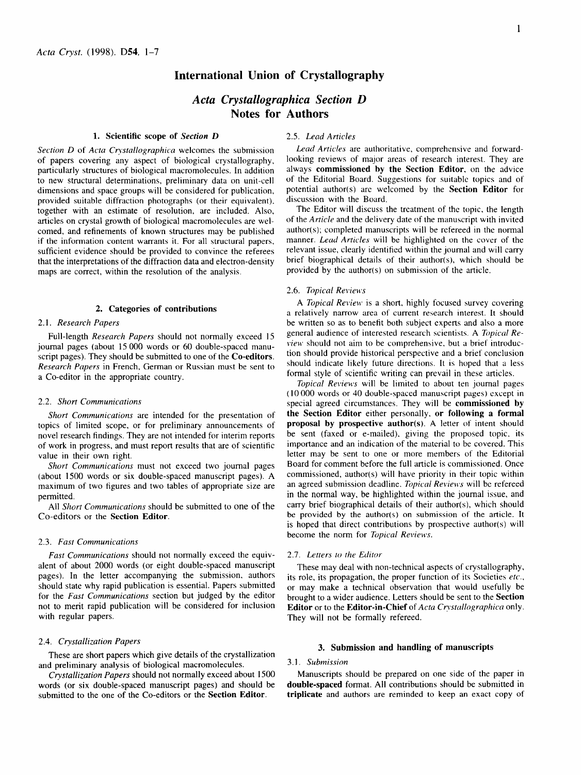# **International Union of Crystallography**

# *Acta Crystallographica Section D*  **Notes for Authors**

## **1. Scientific scope of** *Section D*

*Section D* of *Acta Crystallographica* welcomes the submission of papers covering any aspect of biological crystallography, particularly structures of biological macromolecules. In addition to new structural determinations, preliminary data on unit-cell dimensions and space groups will be considered for publication, provided suitable diffraction photographs (or their equivalent), together with an estimate of resolution, are included. Also, articles on crystal growth of biological macromolecules are welcomed, and refinements of known structures may be published if the information content warrants it. For all structural papers, sufficient evidence should be provided to convince the referees that the interpretations of the diffraction data and electron-density maps are correct, within the resolution of the analysis.

# **2. Categories of contributions**

# *2.1. Research Papers*

Full-length *Research Papers* should not normally exceed 15 journal pages (about 15 000 words or 60 double-spaced manuscript pages). They should be submitted to one of the **Co-editors.**  *Research Papers* in French, German or Russian must be sent to a Co-editor in the appropriate country.

## 2.2. *Short Communications*

*Short Communications* are intended for the presentation of topics of limited scope, or for preliminary announcements of novel research findings. They are not intended for interim reports of work in progress, and must report results that are of scientific value in their own right.

*Short Communications* must not exceed two journal pages (about 1500 words or six double-spaced manuscript pages). A maximum of two figures and two tables of appropriate size are permitted.

All *Short Communications* should be submitted to one of the Co-editors or the **Section Editor.** 

## 2.3. *Fast Communications*

*Fast Communications* should not normally exceed the equivalent of about 2000 words (or eight double-spaced manuscript pages). In the letter accompanying the submission, authors should state why rapid publication is essential. Papers submitted for the *Fast Communications* section but judged by the editor not to merit rapid publication will be considered for inclusion with regular papers.

# 2.4. *Crystallization Papers*

These are short papers which give details of the crystallization and preliminary analysis of biological macromolecules.

*Crystallization Papers* should not normally exceed about 1500 words (or six double-spaced manuscript pages) and should be submitted to the one of the Co-editors or the **Section Editor.** 

## 2.5. *Lead Articles*

*Lead Articles* are authoritative, comprehensive and forwardlooking reviews of major areas of research interest. They are always **commissioned by the Section** Editor, on the advice of the Editorial Board. Suggestions for suitable topics and of potential author(s) are welcomed by the **Section Editor** for discussion with the Board.

The Editor will discuss the treatment of the topic, the length of the *Article* and the delivery date of the manuscript with invited author(s); completed manuscripts will be refereed in the normal manner. *Lead Articles* will be highlighted on the cover of the relevant issue, clearly identified within the journal and will carry brief biographical details of their author(s), which should be provided by the author(s) on submission of the article.

#### 2.6. *Topical Reviews*

*A Topical Review* is a short, highly tocused survey covering a relatively narrow area of current research interest. It should be written so as to benefit both subject experts and also a more general audience of interested research scientists. A *Topical Review* should not aim to be comprehensive, but a brief introduction should provide historical perspective and a brief conclusion should indicate likely future directions. It is hoped that a less formal style of scientific writing can prevail in these articles.

*Topical Reviews* will be limited to about ten journal pages (10 000 words or 40 double-spaced manuscript pages) except in special agreed circumstances. They will be **commissioned by the Section Editor** either personally, **or following a formal proposal by prospective author(s).** A letter of intent should be sent (faxed or e-mailed), giving the proposed topic, its importance and an indication of the material to be covered. This letter may be sent to one or more members of the Editorial Board for comment before the full article is commissioned. Once commissioned, author(s) will have priority in their topic within an agreed submission deadline. *Topical Reviews* will be refereed in the normal way, be highlighted within the journal issue, and carry brief biographical details of their author(s), which should be provided by the author(s) on submission of the article. It is hoped that direct contributions by prospective author(s) will become the norm for *Topical Reviews.* 

#### 2.7. *Letters to the Editor*

These may deal with non-technical aspects of crystallography, its role, its propagation, the proper function of its Societies *etc.,*  or may make a technical observation that would usefully be brought to a wider audience. Letters should be sent to the **Section**  Editor or to the Editor-in-Chief of *Acta Crystallographica* only. They will not be formally refereed.

#### **3. Submission and handling of manuscripts**

## *3.1. Submission*

Manuscripts should be prepared on one side of the paper in **double-spaced** format. All contributions should be submitted in **triplicate** and authors are reminded to keep an exact copy of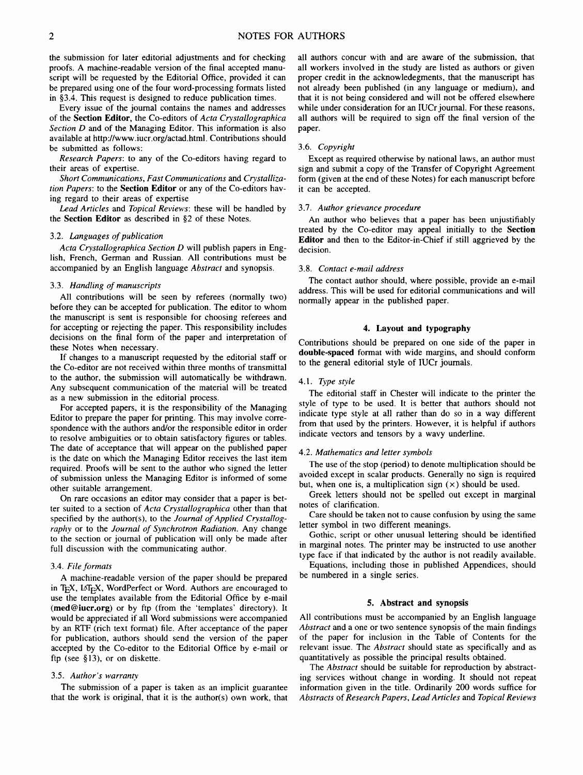the submission for later editorial adjustments and for checking proofs. A machine-readable version of the final accepted manuscript will be requested by the Editorial Office, provided it can be prepared using one of the four word-processing formats listed in §3.4. This request is designed to reduce publication times.

Every issue of the journal contains the names and addresses of the **Section Editor,** the Co-editors of *Acta Crystallographica Section* D and of the Managing Editor. This information is also available at http://www.iucr.org/actad.html. Contributions should be submitted as follows:

*Research Papers:* to any of the Co-editors having regard to their areas of expertise.

*Short Communications, Fast Communications* and *Crystallization Papers:* to the **Section Editor** or any of the Co-editors having regard to their areas of expertise

*Lead Articles* and *Topical Reviews:* these will be handled by the **Section Editor** as described in §2 of these Notes.

#### 3.2. *Languages of publication*

*Acta Crystallographica Section D* will publish papers in English, French, German and Russian. All contributions must be accompanied by an English language *Abstract* and synopsis.

## *3.3. Handling of manuscripts*

All contributions will be seen by referees (normally two) before they can be accepted for publication. The editor to whom the manuscript is sent is responsible for choosing referees and for accepting or rejecting the paper. This responsibility includes decisions on the final form of the paper and interpretation of these Notes when necessary.

If changes to a manuscript requested by the editorial staff or the Co-editor are not received within three months of transmittal to the author, the submission will automatically be withdrawn. Any subsequent communication of the material will be treated as a new submission in the editorial process.

For accepted papers, it is the responsibility of the Managing Editor to prepare the paper for printing. This may involve correspondence with the authors and/or the responsible editor in order to resolve ambiguities or to obtain satisfactory figures or tables. The date of acceptance that will appear on the published paper is the date on which the Managing Editor receives the last item required. Proofs will be sent to the author who signed the letter of submission unless the Managing Editor is informed of some other suitable arrangement.

On rare occasions an editor may consider that a paper is better suited to a section of *Acta Crystallographica* other than that specified by the author(s), to the *Journal of Applied Crystallography* or to the *Journal of Synchrotron Radiation.* Any change to the section or journal of publication will only be made after full discussion with the communicating author.

#### 3.4. *File formats*

A machine-readable version of the paper should be prepared in TEX, IATEX, WordPerfect or Word. Authors are encouraged to use the templates available from the Editorial Office by e-mail (med@iucr.org) or by ftp (from the 'templates' directory). It would be appreciated if all Word submissions were accompanied by an RTF (rich text format) file. After acceptance of the paper for publication, authors should send the version of the paper accepted by the Co-editor to the Editorial Office by e-mail or ftp (see §13), or on diskette.

# 3.5. Author's warranty

The submission of a paper is taken as an implicit guarantee that the work is original, that it is the author(s) own work, that all authors concur with and are aware of the submission, that all workers involved in the study are listed as authors or given proper credit in the acknowledegments, that the manuscript has not already been published (in any language or medium), and that it is not being considered and will not be offered elsewhere while under consideration for an IUCr journal. For these reasons, all authors will be required to sign off the final version of the paper.

#### 3.6. *Copyright*

Except as required otherwise by national laws, an author must sign and submit a copy of the Transfer of Copyright Agreement form (given at the end of these Notes) for each manuscript before it can be accepted.

# 3.7. *Author grievance procedure*

An author who believes that a paper has been unjustifiably treated by the Co-editor may appeal initially to the **Section Editor** and then to the Editor-in-Chief if still aggrieved by the decision.

#### 3.8. *Contact e-mail address*

The contact author should, where possible, provide an e-mail address. This will be used for editorial communications and will normally appear in the published paper.

# **4. Layout and typography**

Contributions should be prepared on one side of the paper in **double-spaced** format with wide margins, and should conform to the general editorial style of IUCr journals.

#### *4.1. Type style*

The editorial staff in Chester will indicate to the printer the style of type to be used. It is better that authors should not indicate type style at all rather than do so in a way different from that used by the printers. However, it is helpful if authors indicate vectors and tensors by a wavy underline.

## 4.2. *Mathematics and letter symbols*

The use of the stop (period) to denote multiplication should be avoided except in scalar products. Generally no sign is required but, when one is, a multiplication sign  $(x)$  should be used.

Greek letters should not be spelled out except in marginal notes of clarification.

Care should be taken not to cause confusion by using the same letter symbol in two different meanings.

Gothic, script or other unusual lettering should be identified in marginal notes. The printer may be instructed to use another type face if that indicated by the author is not readily available.

Equations, including those in published Appendices, should be numbered in a single series.

## **5. Abstract and synopsis**

All contributions must be accompanied by an English language *Abstract* and a one or two sentence synopsis of the main findings of the paper for inclusion in the Table of Contents for the relevant issue. The *Abstract* should state as specifically and as quantitatively as possible the principal results obtained.

The *Abstract* should be suitable for reproduction by abstracting services without change in wording. It should not repeat information given in the title. Ordinarily 200 words suffice for *Abstracts* of *Research Papers, Lead Articles* and *Topical Reviews*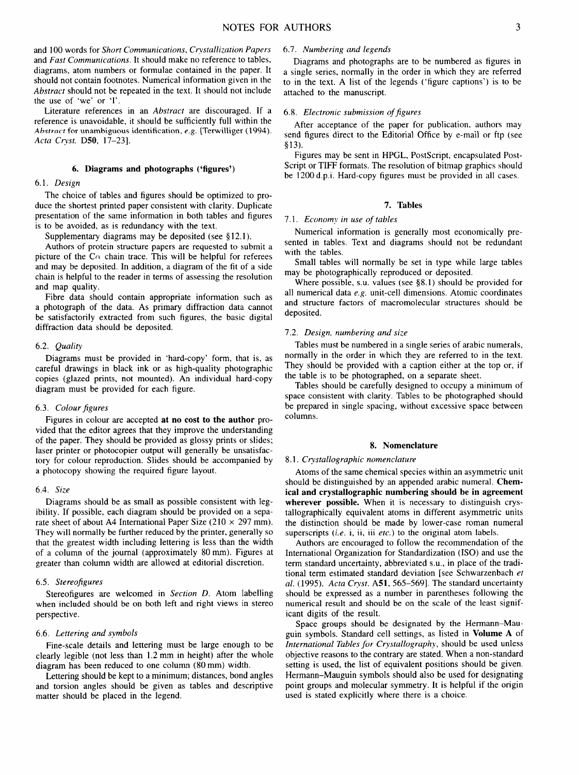and 100 words for *Short Communications*, *Crystallization Papers* and *Fast Communications.* It should make no reference to tables, diagrams, atom numbers or formulae contained in the paper. It should not contain footnotes. Numerical information given in the *Abstract* should not be repeated in the text. It should not include the use of 'we' or 'I'.

Literature references in an *Abstract are* discouraged. If a reference is unavoidable, it should be sufficiently full within the *Abstract* for unambiguous identification, *e.g.* [Terwilliger (1994). *Acta Co'st.* D50, 17-23].

# **6. Diagrams and photographs ('figures')**

#### *6.1. Design*

The choice of tables and figures should be optimized to produce the shortest printed paper consistent with clarity. Duplicate presentation of the same information in both tables and figures is to be avoided, as is redundancy with the text.

Supplementary diagrams may be deposited (see §12.1).

Authors of protein structure papers are requested to submit a picture of the  $Co$  chain trace. This will be helpful for referees and may be deposited. In addition, a diagram of the fit of a side chain is helpful to the reader in terms of assessing the resolution and map quality.

Fibre data should contain appropriate information such as a photograph of the data. As primary diffraction data cannot be satisfactorily extracted from such figures, the basic digital diffraction data should be deposited.

#### 6.2. *Quality*

Diagrams must be provided in 'hard-copy' form, that is, as careful drawings in black ink or as high-quality photographic copies (glazed prints, not mounted). An individual hard-copy diagram must be provided for each figure.

## 6.3. *Colour figures*

Figures in colour are accepted at **no cost to the author** provided that the editor agrees that they improve the understanding of the paper. They should be provided as glossy prints or slides; laser printer or photocopier output will generally be unsatisfactory for colour reproduction. Slides should be accompanied by a photocopy showing the required figure layout.

#### 6.4. *Size*

Diagrams should be as small as possible consistent with legibility. If possible, each diagram should be provided on a separate sheet of about A4 International Paper Size (210  $\times$  297 mm). They will normally be further reduced by the printer, generally so that the greatest width including lettering is less than the width of a column of the journal (approximately 80 mm). Figures at greater than column width are allowed at editorial discretion.

## 6.5. *Stereofigures*

Stereofigures are welcomed in *Section D.* Atom labelling when included should be on both left and right views in stereo perspective.

# 6.6. *Lettering and symbols*

Fine-scale details and lettering must be large enough to be clearly legible (not less than 1.2 mm in height) after the whole diagram has been reduced to one column (80 mm) width.

Lettering should be kept to a minimum; distances, bond angles and torsion angles should be given as tables and descriptive matter should be placed in the legend.

## 6.7. *Numbering and legends*

Diagrams and photographs are to be numbered as figures in a single series, normally in the order in which they are referred to in the text. A list of the legends ('figure captions') is to be attached to the manuscript.

## 6.8. *Electronic submission of figures*

After acceptance of the paper for publication, authors may send figures direct to the Editorial Office by e-mail or ftp (see §13).

Figures may be sent in HPGL, PostScript, encapsulated Post-Script or TIFF formats. The resolution of bitmap graphics should be 1200 d.p.i. Hard-copy figures must be provided in all cases.

# 7. **Tables**

# *7.1. Economy in use of tables*

Numerical information is generally most economically presented in tables. Text and diagrams should not be redundant with the tables.

Small tables will normally be set in type while large tables may be photographically reproduced or deposited.

Where possible, s.u. values (see §8.1) should be provided for all numerical data *e.g.* unit-cell dimensions. Atomic coordinates and structure factors of macromolecular structures should be deposited.

#### 7.2. *Design, numbering and size*

Tables must be numbered in a single series of arabic numerals, normally in the order in which they are referred to in the text. They should be provided with a caption either at the top or, if the table is to be photographed, on a separate sheet.

Tables should be carefully designed to occupy a minimum of space consistent with clarity. Tables to be photographed should be prepared in single spacing, without excessive space between columns.

#### **8. Nomenclature**

#### 8.1. Crystallographic nomenclature

Atoms of the same chemical species within an asymmetric unit should be distinguished by an appended arabic numeral. **Chemical and crystallographic numbering should be in agreement wherever possible.** When it is necessary to distinguish crystallographically equivalent atoms in different asymmetric units the distinction should be made by lower-case roman numeral superscripts *(i.e.* i, ii, iii *etc.)* to the original atom labels.

Authors are encouraged to follow the recommendation of the International Organization for Standardization (ISO) and use the term standard uncertainty, abbreviated s.u., in place of the traditional term estimated standard deviation [see Schwarzenbach *et al.* (1995). *Acta Crvst.* A51, 565-569]. The standard uncertainty should be expressed as a number in parentheses following the numerical result and should be on the scale of the least significant digits of the result.

Space groups should be designated by the Hermann-Mauguin symbols. Standard cell settings, as listed in Volume A of *International Tables for Crystallography,* should be used unless objective reasons to the contrary are stated. When a non-standard setting is used, the list of equivalent positions should be given. Hermann-Mauguin symbols should also be used for designating point groups and molecular symmetry. It is helpful if the origin used is stated explicitly where there is a choice.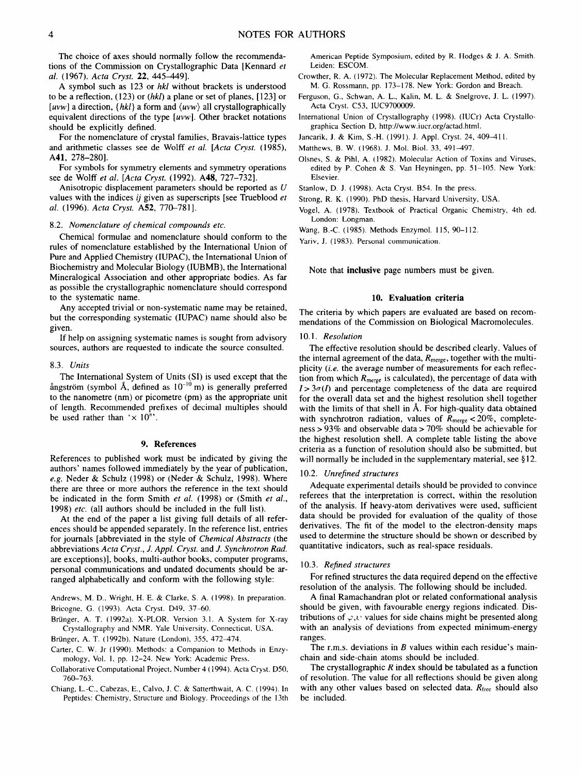The choice of axes should normally follow the recommendations of the Commission on Crystallographic Data [Kennard *et al.* (1967). *Acta Cryst.* 22, 445-449].

A symbol such as 123 or *hkl* without brackets is understood to be a reflection, (123) or *(hkl)* a plane or set of planes, [ 123] or *[uvw]* a direction, *{hkl}* a form and *(uvw)* all crystallographically equivalent directions of the type *[uvwi.* Other bracket notations should be explicitly defined.

For the nomenclature of crystal families, Bravais-lattice types and arithmetic classes see de Wolff *et al. [Acta Cryst.* (1985), A41, 278-280].

For symbols for symmetry elements and symmetry operations see de Wolff *et al.* [Acta Cryst. (1992). A48, 727-732].

Anisotropic displacement parameters should be reported as U values with the indices *ij* given as superscripts [see Trueblood *et al.* (1996). *Acta Cryst.* A52, 770-781].

#### 8.2. *Nomenclature of chemical compounds etc.*

Chemical formulae and nomenclature should conform to the rules of nomenclature established by the International Union of Pure and Applied Chemistry (IUPAC), the International Union of Biochemistry and Molecular Biology (IUBMB), the International Mineralogical Association and other appropriate bodies. As far as possible the crystallographic nomenclature should correspond to the systematic name.

Any accepted trivial or non-systematic name may be retained, but the corresponding systematic (IUPAC) name should also be given.

If help on assigning systematic names is sought from advisory sources, authors are requested to indicate the source consulted.

#### 8.3. *Units*

The International System of Units (SI) is used except that the angström (symbol Å, defined as  $10^{-10}$  m) is generally preferred to the nanometre (nm) or picometre (pm) as the appropriate unit of length. Recommended prefixes of decimal multiples should be used rather than ' $\times 10^n$ '.

#### **9. References**

References to published work must be indicated by giving the authors' names followed immediately by the year of publication, *e.g.* Neder & Schulz (1998) or (Neder & Schulz, 1998). Where there are three or more authors the reference in the text should be indicated in the form Smith *et al.* (1998) or (Smith *et al.,*  1998) *etc.* (all authors should be included in the full list).

At the end of the paper a list giving full details of all references should be appended separately. In the reference list, entries for journals [abbreviated in the style of *Chemical Abstracts* (the abbreviations *Acta Cryst., J. Appl. Cryst.* and *J. Synchrotron Rad.* are exceptions)], books, multi-author books, computer programs, personal communications and undated documents should be arranged alphabetically and conform with the following style:

Andrews, M. D., Wright, H. E. & Clarke, S. A. (1998). In preparation. Bricogne, G. (1993). Acta Cryst. D49, 37-60.

Brünger, A. T. (1992a). X-PLOR. Version 3.1. A System for X-ray Crystallography and NMR. Yale University. Connecticut, USA.

Brünger, A. T. (1992b). Nature (London), 355, 472-474.

Carter, C. W. Jr (1990). Methods: a Companion to Methods in Enzymology, Vol. 1, pp. 12-24. New York: Academic Press.

Collaborative Computational Project, Number 4 (1994). Acta Cryst. D50, 760-763.

Chiang, L.-C., Cabezas, E., Calvo, J. C. & Satterthwait, A. C. (1994). In Peptides: Chemistry, Structure and Biology. Proceedings of the 13th

American Peptide Symposium, edited by R. Hodges & J. A. Smith. Leiden: ESCOM.

- Crowther, R. A. (1972). The Molecular Replacement Method, edited by M. G. Rossmann, pp. 173-178. New York: Gordon and Breach.
- Ferguson, G., Schwan, A. L., Kalin, M. L. & Snelgrove, J. L. (1997). Acta Cryst. C53, IUC9700009.
- International Union of Crystallography (1998). (IUCr) Acta Crystallographica Section D, http://www.iucr.org/actad.html.
- Jancarik, J. & Kim, S.-H. (1991). J. Appl. Cryst. 24, 409-411.
- Matthews, B. W. (1968). J. Mol. Biol. 33, 491-497.
- Olsnes, S. & Pihl, A. (1982). Molecular Action of Toxins and Viruses, edited by P. Cohen & S. Van Heyningen, pp. 51-105. New York: Elsevier.
- Stanlow, D. J. (1998). Acta Cryst. B54. In the press.
- Strong, R. K. (1990). PhD thesis, Harvard University, USA.
- Vogel, A. (1978). Textbook of Practical Organic Chemistry, 4th ed. London: Longman.
- Wang, B.-C. (1985). Methods Enzymol. 115, 90-112.

Yariv, J. (1983). Personal communication.

Note that inclusive page numbers must be given.

#### **10. Evaluation criteria**

The criteria by which papers are evaluated are based on recommendations of the Commission on Biological Macromolecules.

#### *10.1. Resolution*

The effective resolution should be described clearly. Values of the internal agreement of the data,  $R_{merge}$ , together with the multiplicity (i.e. the average number of measurements for each reflection from which  $R_{\text{merge}}$  is calculated), the percentage of data with  $I>3\sigma(I)$  and percentage completeness of the data are required for the overall data set and the highest resolution shell together with the limits of that shell in  $A$ . For high-quality data obtained with synchrotron radiation, values of  $R_{\text{merge}} < 20\%$ , completeness > 93% and observable data > 70% should be achievable for the highest resolution shell. A complete table listing the above criteria as a function of resolution should also be submitted, but will normally be included in the supplementary material, see §12.

#### 10.2. *Unrefined structures*

Adequate experimental details should be provided to convince referees that the interpretation is correct, within the resolution of the analysis. If heavy-atom derivatives were used, sufficient data should be provided for evaluation of the quality of those derivatives. The fit of the model to the electron-density maps used to determine the structure should be shown or described by quantitative indicators, such as real-space residuals.

#### 10.3. *Refined structures*

For refined structures the data required depend on the effective resolution of the analysis. The following should be included.

A final Ramachandran plot or related conformational analysis should be given, with favourable energy regions indicated. Distributions of  $\varphi, \psi$  values for side chains might be presented along with an analysis of deviations from expected minimum-energy ranges.

The r.m.s. deviations in  $B$  values within each residue's mainchain and side-chain atoms should be included.

The crystallographic  $R$  index should be tabulated as a function of resolution. The value for all reflections should be given along with any other values based on selected data.  $R_{\text{free}}$  should also be included.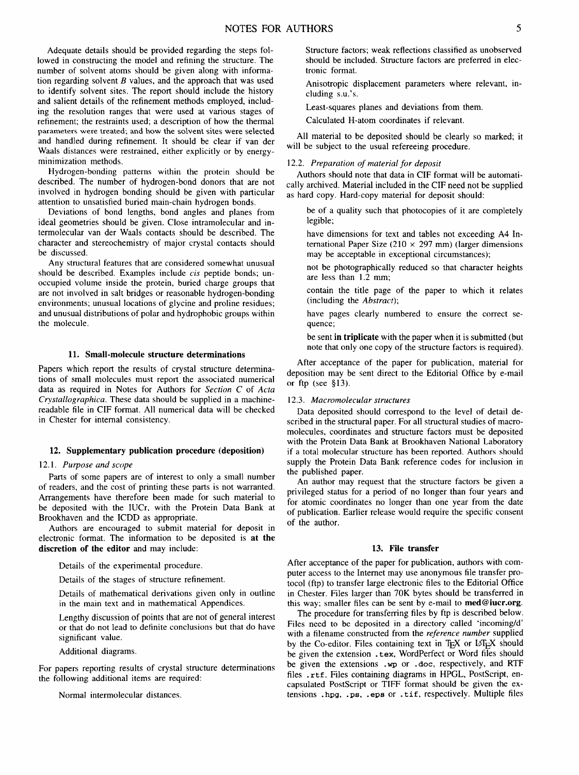Adequate details should be provided regarding the steps followed in constructing the model and refining the structure. The number of solvent atoms should be given along with information regarding solvent  $B$  values, and the approach that was used to identify solvent sites. The report should include the history and salient details of the refinement methods employed, including the resolution ranges that were used at various stages of refinement; the restraints used; a description of how the thermal parameters were treated; and how the solvent sites were selected and handled during refinement. It should be clear if van der Waals distances were restrained, either explicitly or by energyminimization methods.

Hydrogen-bonding patterns within the protein should be described. The number of hydrogen-bond donors that are not involved in hydrogen bonding should be given with particular attention to unsatisfied buried main-chain hydrogen bonds.

Deviations of bond lengths, bond angles and planes from ideal geometries should be given. Close intramolecular and intermolecular van der Waals contacts should be described. The character and stereochemistry of major crystal contacts should be discussed.

Any structural features that are considered somewhat unusual should be described. Examples include *cis* peptide bonds; unoccupied volume inside the protein, buried charge groups that are not involved in salt bridges or reasonable hydrogen-bonding environments; unusual locations of glycine and proline residues; and unusual distributions of polar and hydrophobic groups within the molecule.

## **11. Small-molecule structure determinations**

Papers which report the results of crystal structure determinations of small molecules must report the associated numerical data as required in Notes for Authors for *Section C* of *Acta Crystallographica*. These data should be supplied in a machinereadable file in CIF format. All numerical data will be checked in Chester for internal consistency.

# **12. Supplementary publication procedure (deposition)**

#### *12.1. Purpose and scope*

Parts of some papers are of interest to only a small number of readers, and the cost of printing these parts is not warranted. Arrangements have therefore been made for such material to be deposited with the IUCr, with the Protein Data Bank at Brookhaven and the ICDD as appropriate.

Authors are encouraged to submit material for deposit in electronic format. The information to be deposited is at the **discretion** of the editor and may include:

Details of the experimental procedure.

Details of the stages of structure refinement.

Details of mathematical derivations given only in outline in the main text and in mathematical Appendices.

Lengthy discussion of points that are not of general interest or that do not lead to definite conclusions but that do have significant value.

Additional diagrams.

For papers reporting results of crystal structure determinations the following additional items are required:

Normal intermolecular distances.

Structure factors; weak reflections classified as unobserved should be included. Structure factors are preferred in electronic format.

Anisotropic displacement parameters where relevant, including s.u.'s.

Least-squares planes and deviations from them.

Calculated H-atom coordinates if relevant.

All material to be deposited should be clearly so marked; it will be subject to the usual refereeing procedure.

# 12.2. *Preparation of material for deposit*

Authors should note that data in CIF format will be automatically archived. Material included in the CIF need not be supplied as hard copy. Hard-copy material for deposit should:

be of a quality such that photocopies of it are completely legible;

have dimensions for text and tables not exceeding A4 International Paper Size (210  $\times$  297 mm) (larger dimensions may be acceptable in exceptional circumstances);

not be photographically reduced so that character heights are less than 1.2 mm;

contain the title page of the paper to which it relates (including the *Abstract);* 

have pages clearly numbered to ensure the correct sequence;

be sent **in triplicate** with the paper when it is submitted (but note that only one copy of the structure factors is required).

After acceptance of the paper for publication, material for deposition may be sent direct to the Editorial Office by e-mail or ftp (see §13).

#### 12.3. *Macromolecular structures*

Data deposited should correspond to the level of detail described in the structural paper. For all structural studies of macromolecules, coordinates and structure factors must be deposited with the Protein Data Bank at Brookhaven National Laboratory if a total molecular structure has been reported. Authors should supply the Protein Data Bank reference codes for inclusion in the published paper.

An author may request that the structure factors be given a privileged status for a period of no longer than four years and for atomic coordinates no longer than one year from the date of publication. Earlier release would require the specific consent of the author.

## **13. File transfer**

After acceptance of the paper for publication, authors with computer access to the Intemet may use anonymous file transfer protocol (ftp) to transfer large electronic files to the Editorial Office in Chester. Files larger than 70K bytes should be transferred in this way; smaller files can be sent by e-mail to med@iucr.org.

The procedure for transferring files by ftp is described below. Files need to be deposited in a directory called 'incoming/d' with a filename constructed from the *reference number* supplied by the Co-editor. Files containing text in TEX or  $\mathbb{F}$ EX should be given the extension . tex, WordPerfect or Word files should be given the extensions .wp or .doe, respectively, and RTF files .rtf. Files containing diagrams in HPGL, PostScript, encapsulated PostScript or TIFF format should be given the extensions .hpg, .ps, .epn or .tif, respectively. Multiple files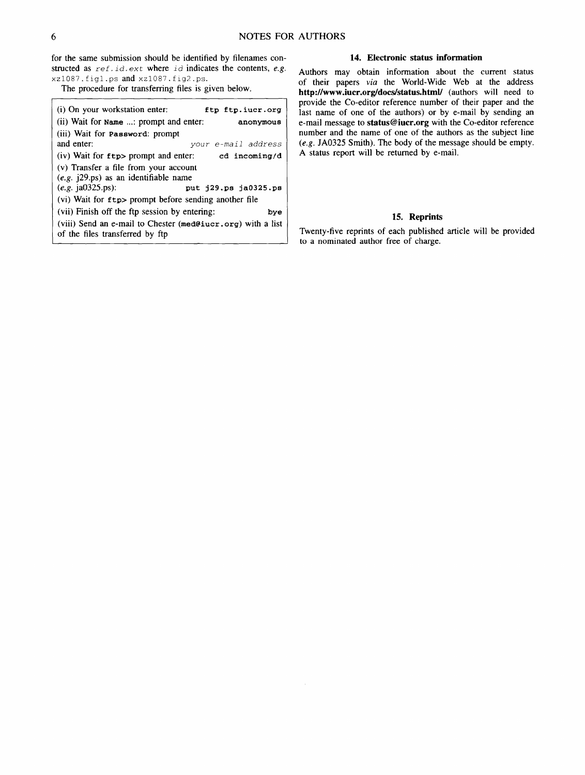for the same submission should be identified by filenames constructed as  $ref$ . *id. ext* where *id* indicates the contents, *e.g.* xz1087, figl .ps and xzi087, fig2 .ps.

The procedure for transferring files is given below.

| (i) On your workstation enter:                                                                 | ftp ftp.iucr.org     |  |  |
|------------------------------------------------------------------------------------------------|----------------------|--|--|
| (ii) Wait for Name : prompt and enter:                                                         | anonymous            |  |  |
| (iii) Wait for <b>Password</b> : prompt                                                        |                      |  |  |
| and enter:                                                                                     | your e-mail address  |  |  |
| $(iv)$ Wait for $ftp$ prompt and enter:                                                        | cd incoming/d        |  |  |
| (v) Transfer a file from your account                                                          |                      |  |  |
| $(e.g.$ ( $29.$ ps) as an identifiable name                                                    |                      |  |  |
| $(e.g.$ ja0325.ps):                                                                            | put i29.ps ia0325.ps |  |  |
| (vi) Wait for ftp> prompt before sending another file                                          |                      |  |  |
| (vii) Finish off the ftp session by entering:                                                  | bye                  |  |  |
| (viii) Send an e-mail to Chester (med@iucr.org) with a list<br>of the files transferred by ftp |                      |  |  |

# **14. Electronic status information**

Authors may obtain information about the current status of their papers *via* the World-Wide Web at the address http://www.iucr.org/docs/status.html/ (authors will need to provide the Co-editor reference number of their paper and the last name of one of the authors) or by e-mail by sending an e-mail message to status@iucr.org with the Co-editor reference number and the name of one of the authors as the subject line *(e.g.* JA0325 Smith). The body of the message should be empty. A status report will be returned by e-mail.

# **15. Reprints**

Twenty-five reprints of each published article will be provided to a nominated author free of charge.